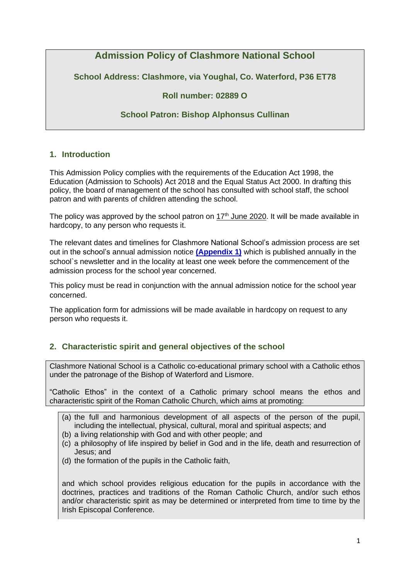# **Admission Policy of Clashmore National School**

**School Address: Clashmore, via Youghal, Co. Waterford, P36 ET78**

# **Roll number: 02889 O**

# **School Patron: Bishop Alphonsus Cullinan**

# **1. Introduction**

This Admission Policy complies with the requirements of the Education Act 1998, the Education (Admission to Schools) Act 2018 and the Equal Status Act 2000. In drafting this policy, the board of management of the school has consulted with school staff, the school patron and with parents of children attending the school.

The policy was approved by the school patron on  $17<sup>th</sup>$  June 2020. It will be made available in hardcopy, to any person who requests it.

The relevant dates and timelines for Clashmore National School's admission process are set out in the school's annual admission notice **[\(Appendix 1\)](#page-8-0)** which is published annually in the school`s newsletter and in the locality at least one week before the commencement of the admission process for the school year concerned.

This policy must be read in conjunction with the annual admission notice for the school year concerned.

The application form for admissions will be made available in hardcopy on request to any person who requests it.

# **2. Characteristic spirit and general objectives of the school**

Clashmore National School is a Catholic co-educational primary school with a Catholic ethos under the patronage of the Bishop of Waterford and Lismore.

"Catholic Ethos" in the context of a Catholic primary school means the ethos and characteristic spirit of the Roman Catholic Church, which aims at promoting:

- (a) the full and harmonious development of all aspects of the person of the pupil, including the intellectual, physical, cultural, moral and spiritual aspects; and
- (b) a living relationship with God and with other people; and
- (c) a philosophy of life inspired by belief in God and in the life, death and resurrection of Jesus; and
- (d) the formation of the pupils in the Catholic faith,

and which school provides religious education for the pupils in accordance with the doctrines, practices and traditions of the Roman Catholic Church, and/or such ethos and/or characteristic spirit as may be determined or interpreted from time to time by the Irish Episcopal Conference.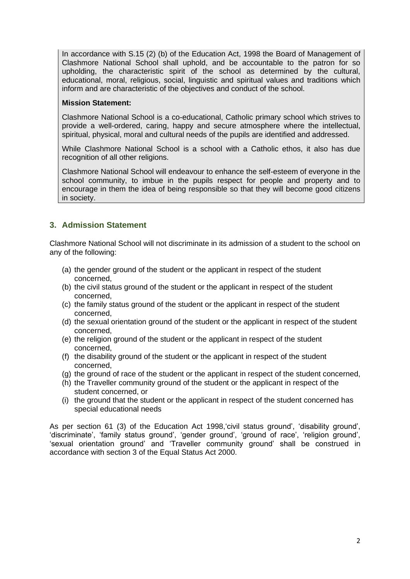In accordance with S.15 (2) (b) of the Education Act, 1998 the Board of Management of Clashmore National School shall uphold, and be accountable to the patron for so upholding, the characteristic spirit of the school as determined by the cultural, educational, moral, religious, social, linguistic and spiritual values and traditions which inform and are characteristic of the objectives and conduct of the school.

#### **Mission Statement:**

Clashmore National School is a co-educational, Catholic primary school which strives to provide a well-ordered, caring, happy and secure atmosphere where the intellectual, spiritual, physical, moral and cultural needs of the pupils are identified and addressed.

While Clashmore National School is a school with a Catholic ethos, it also has due recognition of all other religions.

Clashmore National School will endeavour to enhance the self-esteem of everyone in the school community, to imbue in the pupils respect for people and property and to encourage in them the idea of being responsible so that they will become good citizens in society.

# **3. Admission Statement**

Clashmore National School will not discriminate in its admission of a student to the school on any of the following:

- (a) the gender ground of the student or the applicant in respect of the student concerned,
- (b) the civil status ground of the student or the applicant in respect of the student concerned,
- (c) the family status ground of the student or the applicant in respect of the student concerned,
- (d) the sexual orientation ground of the student or the applicant in respect of the student concerned,
- (e) the religion ground of the student or the applicant in respect of the student concerned,
- (f) the disability ground of the student or the applicant in respect of the student concerned,
- (g) the ground of race of the student or the applicant in respect of the student concerned,
- (h) the Traveller community ground of the student or the applicant in respect of the student concerned, or
- (i) the ground that the student or the applicant in respect of the student concerned has special educational needs

As per section 61 (3) of the Education Act 1998,'civil status ground', 'disability ground', 'discriminate', 'family status ground', 'gender ground', 'ground of race', 'religion ground', 'sexual orientation ground' and 'Traveller community ground' shall be construed in accordance with section 3 of the Equal Status Act 2000.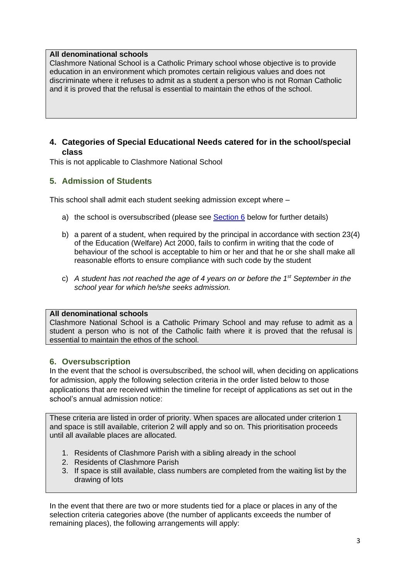#### **All denominational schools**

Clashmore National School is a Catholic Primary school whose objective is to provide education in an environment which promotes certain religious values and does not discriminate where it refuses to admit as a student a person who is not Roman Catholic and it is proved that the refusal is essential to maintain the ethos of the school.

### **4. Categories of Special Educational Needs catered for in the school/special class**

This is not applicable to Clashmore National School

# **5. Admission of Students**

This school shall admit each student seeking admission except where –

- a) the school is oversubscribed (please see [Section 6](#page-2-0) below for further details)
- b) a parent of a student, when required by the principal in accordance with section 23(4) of the Education (Welfare) Act 2000, fails to confirm in writing that the code of behaviour of the school is acceptable to him or her and that he or she shall make all reasonable efforts to ensure compliance with such code by the student
- c) *A student has not reached the age of 4 years on or before the 1st September in the school year for which he/she seeks admission.*

#### **All denominational schools**

Clashmore National School is a Catholic Primary School and may refuse to admit as a student a person who is not of the Catholic faith where it is proved that the refusal is essential to maintain the ethos of the school.

### <span id="page-2-0"></span>**6. Oversubscription**

In the event that the school is oversubscribed, the school will, when deciding on applications for admission, apply the following selection criteria in the order listed below to those applications that are received within the timeline for receipt of applications as set out in the school's annual admission notice:

These criteria are listed in order of priority. When spaces are allocated under criterion 1 and space is still available, criterion 2 will apply and so on. This prioritisation proceeds until all available places are allocated.

- 1. Residents of Clashmore Parish with a sibling already in the school
- 2. Residents of Clashmore Parish
- 3. If space is still available, class numbers are completed from the waiting list by the drawing of lots

In the event that there are two or more students tied for a place or places in any of the selection criteria categories above (the number of applicants exceeds the number of remaining places), the following arrangements will apply: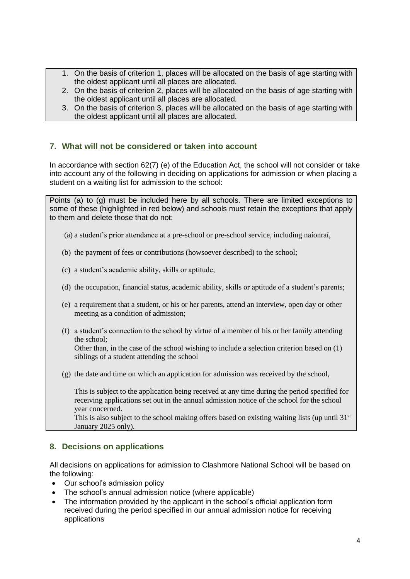- 1. On the basis of criterion 1, places will be allocated on the basis of age starting with the oldest applicant until all places are allocated.
- 2. On the basis of criterion 2, places will be allocated on the basis of age starting with the oldest applicant until all places are allocated.
- 3. On the basis of criterion 3, places will be allocated on the basis of age starting with the oldest applicant until all places are allocated.

### **7. What will not be considered or taken into account**

In accordance with section 62(7) (e) of the Education Act, the school will not consider or take into account any of the following in deciding on applications for admission or when placing a student on a waiting list for admission to the school:

Points (a) to (g) must be included here by all schools. There are limited exceptions to some of these (highlighted in red below) and schools must retain the exceptions that apply to them and delete those that do not:

(a) a student's prior attendance at a pre-school or pre-school service, including naíonraí,

(b) the payment of fees or contributions (howsoever described) to the school;

- (c) a student's academic ability, skills or aptitude;
- (d) the occupation, financial status, academic ability, skills or aptitude of a student's parents;
- (e) a requirement that a student, or his or her parents, attend an interview, open day or other meeting as a condition of admission;
- (f) a student's connection to the school by virtue of a member of his or her family attending the school;

Other than, in the case of the school wishing to include a selection criterion based on (1) siblings of a student attending the school

(g) the date and time on which an application for admission was received by the school,

This is subject to the application being received at any time during the period specified for receiving applications set out in the annual admission notice of the school for the school year concerned.

This is also subject to the school making offers based on existing waiting lists (up until  $31<sup>st</sup>$ January 2025 only).

#### **8. Decisions on applications**

All decisions on applications for admission to Clashmore National School will be based on the following:

- Our school's admission policy
- The school's annual admission notice (where applicable)
- The information provided by the applicant in the school's official application form received during the period specified in our annual admission notice for receiving applications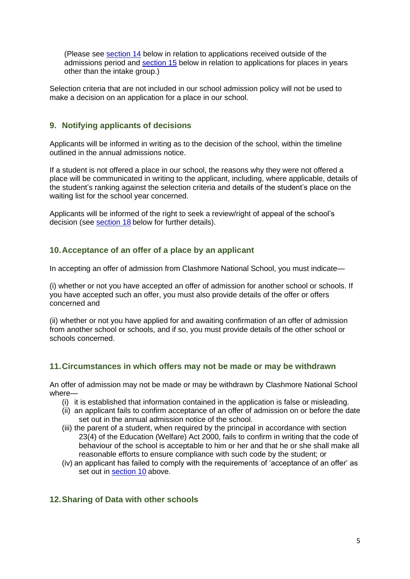(Please see [section 14](#page-6-0) below in relation to applications received outside of the admissions period and [section 15](#page-6-1) below in relation to applications for places in years other than the intake group.)

Selection criteria that are not included in our school admission policy will not be used to make a decision on an application for a place in our school.

# **9. Notifying applicants of decisions**

Applicants will be informed in writing as to the decision of the school, within the timeline outlined in the annual admissions notice.

If a student is not offered a place in our school, the reasons why they were not offered a place will be communicated in writing to the applicant, including, where applicable, details of the student's ranking against the selection criteria and details of the student's place on the waiting list for the school year concerned.

Applicants will be informed of the right to seek a review/right of appeal of the school's decision (see [section 18](#page-7-0) below for further details).

# <span id="page-4-0"></span>**10.Acceptance of an offer of a place by an applicant**

In accepting an offer of admission from Clashmore National School, you must indicate—

(i) whether or not you have accepted an offer of admission for another school or schools. If you have accepted such an offer, you must also provide details of the offer or offers concerned and

(ii) whether or not you have applied for and awaiting confirmation of an offer of admission from another school or schools, and if so, you must provide details of the other school or schools concerned.

### **11.Circumstances in which offers may not be made or may be withdrawn**

An offer of admission may not be made or may be withdrawn by Clashmore National School where—

- (i) it is established that information contained in the application is false or misleading.
- (ii) an applicant fails to confirm acceptance of an offer of admission on or before the date set out in the annual admission notice of the school.
- (iii) the parent of a student, when required by the principal in accordance with section 23(4) of the Education (Welfare) Act 2000, fails to confirm in writing that the code of behaviour of the school is acceptable to him or her and that he or she shall make all reasonable efforts to ensure compliance with such code by the student; or
- (iv) an applicant has failed to comply with the requirements of 'acceptance of an offer' as set out in [section 10](#page-4-0) above.

### **12.Sharing of Data with other schools**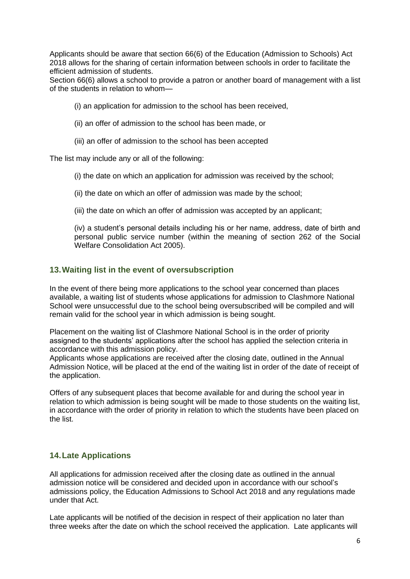Applicants should be aware that section 66(6) of the Education (Admission to Schools) Act 2018 allows for the sharing of certain information between schools in order to facilitate the efficient admission of students.

Section 66(6) allows a school to provide a patron or another board of management with a list of the students in relation to whom—

(i) an application for admission to the school has been received,

- (ii) an offer of admission to the school has been made, or
- (iii) an offer of admission to the school has been accepted

The list may include any or all of the following:

(i) the date on which an application for admission was received by the school;

(ii) the date on which an offer of admission was made by the school;

(iii) the date on which an offer of admission was accepted by an applicant;

(iv) a student's personal details including his or her name, address, date of birth and personal public service number (within the meaning of section 262 of the Social Welfare Consolidation Act 2005).

#### **13.Waiting list in the event of oversubscription**

In the event of there being more applications to the school year concerned than places available, a waiting list of students whose applications for admission to Clashmore National School were unsuccessful due to the school being oversubscribed will be compiled and will remain valid for the school year in which admission is being sought.

Placement on the waiting list of Clashmore National School is in the order of priority assigned to the students' applications after the school has applied the selection criteria in accordance with this admission policy.

Applicants whose applications are received after the closing date, outlined in the Annual Admission Notice, will be placed at the end of the waiting list in order of the date of receipt of the application.

Offers of any subsequent places that become available for and during the school year in relation to which admission is being sought will be made to those students on the waiting list, in accordance with the order of priority in relation to which the students have been placed on the list.

### **14.Late Applications**

All applications for admission received after the closing date as outlined in the annual admission notice will be considered and decided upon in accordance with our school's admissions policy, the Education Admissions to School Act 2018 and any regulations made under that Act.

Late applicants will be notified of the decision in respect of their application no later than three weeks after the date on which the school received the application. Late applicants will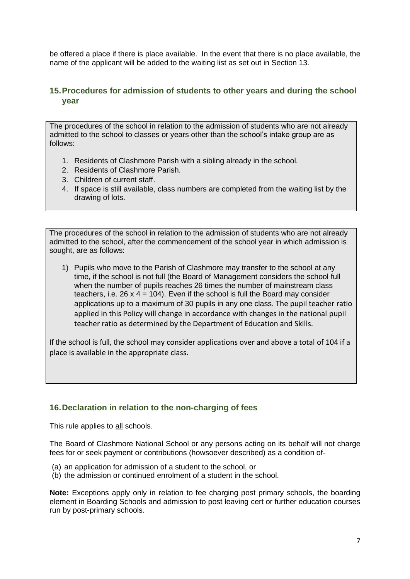be offered a place if there is place available. In the event that there is no place available, the name of the applicant will be added to the waiting list as set out in Section 13.

# <span id="page-6-0"></span>**15.Procedures for admission of students to other years and during the school year**

The procedures of the school in relation to the admission of students who are not already admitted to the school to classes or years other than the school's intake group are as follows:

- 1. Residents of Clashmore Parish with a sibling already in the school.
- 2. Residents of Clashmore Parish.
- 3. Children of current staff.
- 4. If space is still available, class numbers are completed from the waiting list by the drawing of lots.

The procedures of the school in relation to the admission of students who are not already admitted to the school, after the commencement of the school year in which admission is sought, are as follows:

1) Pupils who move to the Parish of Clashmore may transfer to the school at any time, if the school is not full (the Board of Management considers the school full when the number of pupils reaches 26 times the number of mainstream class teachers, i.e.  $26 \times 4 = 104$ ). Even if the school is full the Board may consider applications up to a maximum of 30 pupils in any one class. The pupil teacher ratio applied in this Policy will change in accordance with changes in the national pupil teacher ratio as determined by the Department of Education and Skills.

If the school is full, the school may consider applications over and above a total of 104 if a place is available in the appropriate class.

### <span id="page-6-1"></span>**16.Declaration in relation to the non-charging of fees**

This rule applies to all schools.

The Board of Clashmore National School or any persons acting on its behalf will not charge fees for or seek payment or contributions (howsoever described) as a condition of-

- (a) an application for admission of a student to the school, or
- (b) the admission or continued enrolment of a student in the school.

**Note:** Exceptions apply only in relation to fee charging post primary schools, the boarding element in Boarding Schools and admission to post leaving cert or further education courses run by post-primary schools.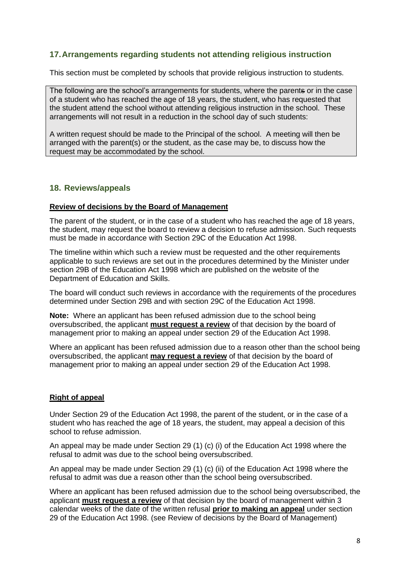### **17.Arrangements regarding students not attending religious instruction**

This section must be completed by schools that provide religious instruction to students.

The following are the school's arrangements for students, where the parents or in the case of a student who has reached the age of 18 years, the student, who has requested that the student attend the school without attending religious instruction in the school. These arrangements will not result in a reduction in the school day of such students:

A written request should be made to the Principal of the school. A meeting will then be arranged with the parent(s) or the student, as the case may be, to discuss how the request may be accommodated by the school.

#### <span id="page-7-0"></span>**18. Reviews/appeals**

#### **Review of decisions by the Board of Management**

The parent of the student, or in the case of a student who has reached the age of 18 years, the student, may request the board to review a decision to refuse admission. Such requests must be made in accordance with Section 29C of the Education Act 1998.

The timeline within which such a review must be requested and the other requirements applicable to such reviews are set out in the procedures determined by the Minister under section 29B of the Education Act 1998 which are published on the website of the Department of Education and Skills.

The board will conduct such reviews in accordance with the requirements of the procedures determined under Section 29B and with section 29C of the Education Act 1998.

**Note:** Where an applicant has been refused admission due to the school being oversubscribed, the applicant **must request a review** of that decision by the board of management prior to making an appeal under section 29 of the Education Act 1998.

Where an applicant has been refused admission due to a reason other than the school being oversubscribed, the applicant **may request a review** of that decision by the board of management prior to making an appeal under section 29 of the Education Act 1998.

#### **Right of appeal**

Under Section 29 of the Education Act 1998, the parent of the student, or in the case of a student who has reached the age of 18 years, the student, may appeal a decision of this school to refuse admission.

An appeal may be made under Section 29 (1) (c) (i) of the Education Act 1998 where the refusal to admit was due to the school being oversubscribed.

An appeal may be made under Section 29 (1) (c) (ii) of the Education Act 1998 where the refusal to admit was due a reason other than the school being oversubscribed.

Where an applicant has been refused admission due to the school being oversubscribed, the applicant **must request a review** of that decision by the board of management within 3 calendar weeks of the date of the written refusal **prior to making an appeal** under section 29 of the Education Act 1998. (see Review of decisions by the Board of Management)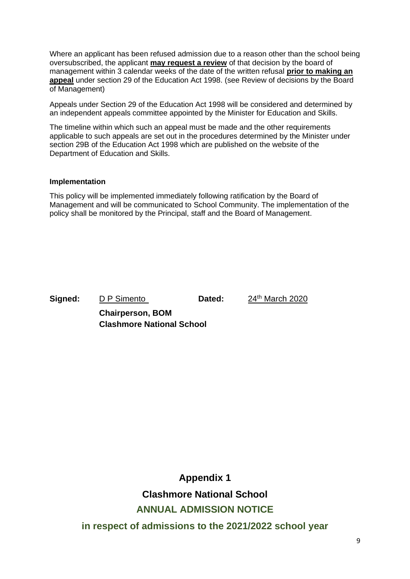Where an applicant has been refused admission due to a reason other than the school being oversubscribed, the applicant **may request a review** of that decision by the board of management within 3 calendar weeks of the date of the written refusal **prior to making an appeal** under section 29 of the Education Act 1998. (see Review of decisions by the Board of Management)

Appeals under Section 29 of the Education Act 1998 will be considered and determined by an independent appeals committee appointed by the Minister for Education and Skills.

The timeline within which such an appeal must be made and the other requirements applicable to such appeals are set out in the procedures determined by the Minister under section 29B of the Education Act 1998 which are published on the website of the Department of Education and Skills.

#### **Implementation**

This policy will be implemented immediately following ratification by the Board of Management and will be communicated to School Community. The implementation of the policy shall be monitored by the Principal, staff and the Board of Management.

**Signed:** D P Simento **Dated:** 24<sup>th</sup> March 2020

**Chairperson, BOM Clashmore National School**

<span id="page-8-0"></span>**Appendix 1 Clashmore National School ANNUAL ADMISSION NOTICE in respect of admissions to the 2021/2022 school year**